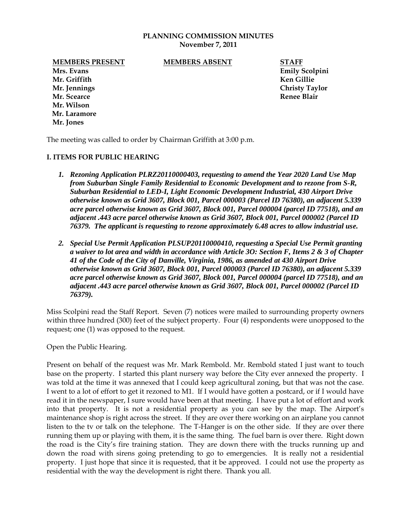## **PLANNING COMMISSION MINUTES November 7, 2011**

**MEMBERS PRESENT MEMBERS ABSENT STAFF**

**Mr. Jennings Christy Taylor Mr. Scearce Renee Blair Mr. Wilson Mr. Laramore Mr. Jones**

**Mrs. Evans Emily Scolpini Mr. Griffith Ken Gillie**

The meeting was called to order by Chairman Griffith at 3:00 p.m.

## **I. ITEMS FOR PUBLIC HEARING**

- *1. Rezoning Application PLRZ20110000403, requesting to amend the Year 2020 Land Use Map from Suburban Single Family Residential to Economic Development and to rezone from S-R, Suburban Residential to LED-I, Light Economic Development Industrial, 430 Airport Drive otherwise known as Grid 3607, Block 001, Parcel 000003 (Parcel ID 76380), an adjacent 5.339 acre parcel otherwise known as Grid 3607, Block 001, Parcel 000004 (parcel ID 77518), and an adjacent .443 acre parcel otherwise known as Grid 3607, Block 001, Parcel 000002 (Parcel ID 76379. The applicant is requesting to rezone approximately 6.48 acres to allow industrial use.*
- *2. Special Use Permit Application PLSUP20110000410, requesting a Special Use Permit granting a waiver to lot area and width in accordance with Article 3O: Section F, Items 2 & 3 of Chapter 41 of the Code of the City of Danville, Virginia, 1986, as amended at 430 Airport Drive otherwise known as Grid 3607, Block 001, Parcel 000003 (Parcel ID 76380), an adjacent 5.339 acre parcel otherwise known as Grid 3607, Block 001, Parcel 000004 (parcel ID 77518), and an adjacent .443 acre parcel otherwise known as Grid 3607, Block 001, Parcel 000002 (Parcel ID 76379).*

Miss Scolpini read the Staff Report. Seven (7) notices were mailed to surrounding property owners within three hundred (300) feet of the subject property. Four (4) respondents were unopposed to the request; one (1) was opposed to the request.

Open the Public Hearing.

Present on behalf of the request was Mr. Mark Rembold. Mr. Rembold stated I just want to touch base on the property. I started this plant nursery way before the City ever annexed the property. I was told at the time it was annexed that I could keep agricultural zoning, but that was not the case. I went to a lot of effort to get it rezoned to M1. If I would have gotten a postcard, or if I would have read it in the newspaper, I sure would have been at that meeting. I have put a lot of effort and work into that property. It is not a residential property as you can see by the map. The Airport's maintenance shop is right across the street. If they are over there working on an airplane you cannot listen to the tv or talk on the telephone. The T-Hanger is on the other side. If they are over there running them up or playing with them, it is the same thing. The fuel barn is over there. Right down the road is the City's fire training station. They are down there with the trucks running up and down the road with sirens going pretending to go to emergencies. It is really not a residential property. I just hope that since it is requested, that it be approved. I could not use the property as residential with the way the development is right there. Thank you all.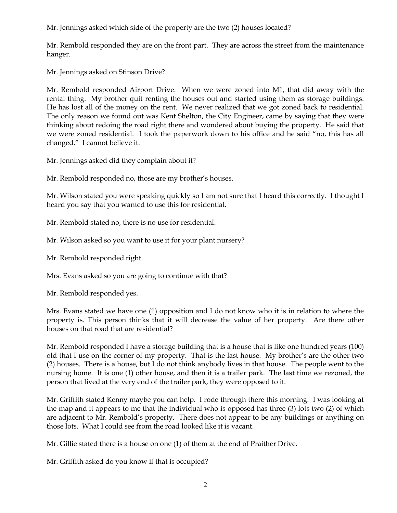Mr. Jennings asked which side of the property are the two (2) houses located?

Mr. Rembold responded they are on the front part. They are across the street from the maintenance hanger.

Mr. Jennings asked on Stinson Drive?

Mr. Rembold responded Airport Drive. When we were zoned into M1, that did away with the rental thing. My brother quit renting the houses out and started using them as storage buildings. He has lost all of the money on the rent. We never realized that we got zoned back to residential. The only reason we found out was Kent Shelton, the City Engineer, came by saying that they were thinking about redoing the road right there and wondered about buying the property. He said that we were zoned residential. I took the paperwork down to his office and he said "no, this has all changed." I cannot believe it.

Mr. Jennings asked did they complain about it?

Mr. Rembold responded no, those are my brother's houses.

Mr. Wilson stated you were speaking quickly so I am not sure that I heard this correctly. I thought I heard you say that you wanted to use this for residential.

Mr. Rembold stated no, there is no use for residential.

Mr. Wilson asked so you want to use it for your plant nursery?

Mr. Rembold responded right.

Mrs. Evans asked so you are going to continue with that?

Mr. Rembold responded yes.

Mrs. Evans stated we have one (1) opposition and I do not know who it is in relation to where the property is. This person thinks that it will decrease the value of her property. Are there other houses on that road that are residential?

Mr. Rembold responded I have a storage building that is a house that is like one hundred years (100) old that I use on the corner of my property. That is the last house. My brother's are the other two (2) houses. There is a house, but I do not think anybody lives in that house. The people went to the nursing home. It is one (1) other house, and then it is a trailer park. The last time we rezoned, the person that lived at the very end of the trailer park, they were opposed to it.

Mr. Griffith stated Kenny maybe you can help. I rode through there this morning. I was looking at the map and it appears to me that the individual who is opposed has three (3) lots two (2) of which are adjacent to Mr. Rembold's property. There does not appear to be any buildings or anything on those lots. What I could see from the road looked like it is vacant.

Mr. Gillie stated there is a house on one (1) of them at the end of Praither Drive.

Mr. Griffith asked do you know if that is occupied?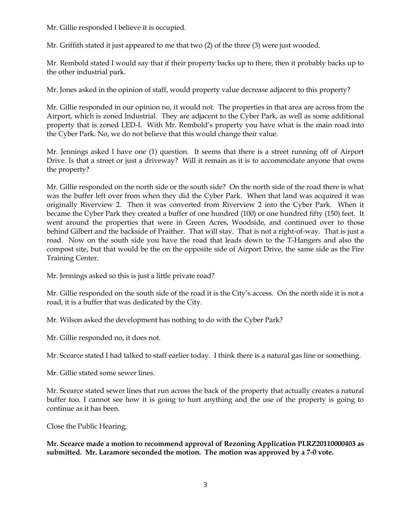Mr. Gillie responded I believe it is occupied.

Mr. Griffith stated it just appeared to me that two (2) of the three (3) were just wooded.

Mr. Rembold stated I would say that if their property backs up to there, then it probably backs up to the other industrial park.

Mr. Jones asked in the opinion of staff, would property value decrease adjacent to this property?

Mr. Gillie responded in our opinion no, it would not. The properties in that area are across from the Airport, which is zoned Industrial. They are adjacent to the Cyber Park, as well as some additional property that is zoned LED-I. With Mr. Rembold's property you have what is the main road into the Cyber Park. No, we do not believe that this would change their value.

Mr. Jennings asked I have one (1) question. It seems that there is a street running off of Airport Drive. Is that a street or just a driveway? Will it remain as it is to accommodate anyone that owns the property?

Mr. Gillie responded on the north side or the south side? On the north side of the road there is what was the buffer left over from when they did the Cyber Park. When that land was acquired it was originally Riverview 2. Then it was converted from Riverview 2 into the Cyber Park. When it became the Cyber Park they created a buffer of one hundred (100) or one hundred fifty (150) feet. It went around the properties that were in Green Acres, Woodside, and continued over to those behind Gilbert and the backside of Praither. That will stay. That is not a right-of-way. That is just a road. Now on the south side you have the road that leads down to the T-Hangers and also the compost site, but that would be the on the opposite side of Airport Drive, the same side as the Fire Training Center.

Mr. Jennings asked so this is just a little private road?

Mr. Gillie responded on the south side of the road it is the City's access. On the north side it is not a road, it is a buffer that was dedicated by the City.

Mr. Wilson asked the development has nothing to do with the Cyber Park?

Mr. Gillie responded no, it does not.

Mr. Scearce stated I had talked to staff earlier today. I think there is a natural gas line or something.

Mr. Gillie stated some sewer lines.

Mr. Scearce stated sewer lines that run across the back of the property that actually creates a natural buffer too. I cannot see how it is going to hurt anything and the use of the property is going to continue as it has been.

Close the Public Hearing.

**Mr. Scearce made a motion to recommend approval of Rezoning Application PLRZ20110000403 as submitted. Mr. Laramore seconded the motion. The motion was approved by a 7-0 vote.**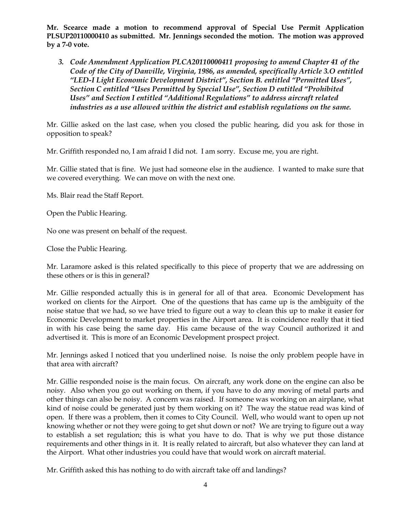**Mr. Scearce made a motion to recommend approval of Special Use Permit Application PLSUP20110000410 as submitted. Mr. Jennings seconded the motion. The motion was approved by a 7-0 vote.**

*3. Code Amendment Application PLCA20110000411 proposing to amend Chapter 41 of the Code of the City of Danville, Virginia, 1986, as amended, specifically Article 3.O entitled "LED-I Light Economic Development District", Section B. entitled "Permitted Uses", Section C entitled "Uses Permitted by Special Use", Section D entitled "Prohibited Uses" and Section I entitled "Additional Regulations" to address aircraft related industries as a use allowed within the district and establish regulations on the same.* 

Mr. Gillie asked on the last case, when you closed the public hearing, did you ask for those in opposition to speak?

Mr. Griffith responded no, I am afraid I did not. I am sorry. Excuse me, you are right.

Mr. Gillie stated that is fine. We just had someone else in the audience. I wanted to make sure that we covered everything. We can move on with the next one.

Ms. Blair read the Staff Report.

Open the Public Hearing.

No one was present on behalf of the request.

Close the Public Hearing.

Mr. Laramore asked is this related specifically to this piece of property that we are addressing on these others or is this in general?

Mr. Gillie responded actually this is in general for all of that area. Economic Development has worked on clients for the Airport. One of the questions that has came up is the ambiguity of the noise statue that we had, so we have tried to figure out a way to clean this up to make it easier for Economic Development to market properties in the Airport area. It is coincidence really that it tied in with his case being the same day. His came because of the way Council authorized it and advertised it. This is more of an Economic Development prospect project.

Mr. Jennings asked I noticed that you underlined noise. Is noise the only problem people have in that area with aircraft?

Mr. Gillie responded noise is the main focus. On aircraft, any work done on the engine can also be noisy. Also when you go out working on them, if you have to do any moving of metal parts and other things can also be noisy. A concern was raised. If someone was working on an airplane, what kind of noise could be generated just by them working on it? The way the statue read was kind of open. If there was a problem, then it comes to City Council. Well, who would want to open up not knowing whether or not they were going to get shut down or not? We are trying to figure out a way to establish a set regulation; this is what you have to do. That is why we put those distance requirements and other things in it. It is really related to aircraft, but also whatever they can land at the Airport. What other industries you could have that would work on aircraft material.

Mr. Griffith asked this has nothing to do with aircraft take off and landings?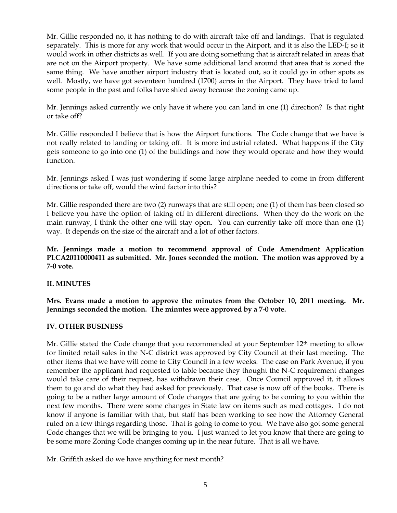Mr. Gillie responded no, it has nothing to do with aircraft take off and landings. That is regulated separately. This is more for any work that would occur in the Airport, and it is also the LED-I; so it would work in other districts as well. If you are doing something that is aircraft related in areas that are not on the Airport property. We have some additional land around that area that is zoned the same thing. We have another airport industry that is located out, so it could go in other spots as well. Mostly, we have got seventeen hundred (1700) acres in the Airport. They have tried to land some people in the past and folks have shied away because the zoning came up.

Mr. Jennings asked currently we only have it where you can land in one (1) direction? Is that right or take off?

Mr. Gillie responded I believe that is how the Airport functions. The Code change that we have is not really related to landing or taking off. It is more industrial related. What happens if the City gets someone to go into one (1) of the buildings and how they would operate and how they would function.

Mr. Jennings asked I was just wondering if some large airplane needed to come in from different directions or take off, would the wind factor into this?

Mr. Gillie responded there are two (2) runways that are still open; one (1) of them has been closed so I believe you have the option of taking off in different directions. When they do the work on the main runway, I think the other one will stay open. You can currently take off more than one (1) way. It depends on the size of the aircraft and a lot of other factors.

**Mr. Jennings made a motion to recommend approval of Code Amendment Application PLCA20110000411 as submitted. Mr. Jones seconded the motion. The motion was approved by a 7-0 vote.**

## **II. MINUTES**

**Mrs. Evans made a motion to approve the minutes from the October 10, 2011 meeting. Mr. Jennings seconded the motion. The minutes were approved by a 7-0 vote.**

## **IV. OTHER BUSINESS**

Mr. Gillie stated the Code change that you recommended at your September  $12<sup>th</sup>$  meeting to allow for limited retail sales in the N-C district was approved by City Council at their last meeting. The other items that we have will come to City Council in a few weeks. The case on Park Avenue, if you remember the applicant had requested to table because they thought the N-C requirement changes would take care of their request, has withdrawn their case. Once Council approved it, it allows them to go and do what they had asked for previously. That case is now off of the books. There is going to be a rather large amount of Code changes that are going to be coming to you within the next few months. There were some changes in State law on items such as med cottages. I do not know if anyone is familiar with that, but staff has been working to see how the Attorney General ruled on a few things regarding those. That is going to come to you. We have also got some general Code changes that we will be bringing to you. I just wanted to let you know that there are going to be some more Zoning Code changes coming up in the near future. That is all we have.

Mr. Griffith asked do we have anything for next month?